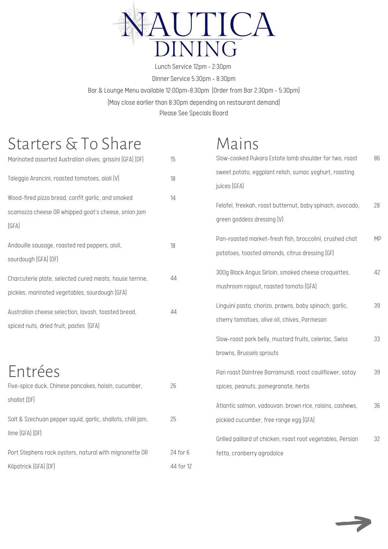

Lunch Service 12pm - 2:30pm Dinner Service 5:30pm - 8:30pm Bar & Lounge Menu available 12:00pm-8:30pm (Order from Bar2:30pm - 5:30pm) (May close earlier than 8:30pm depending on restaurant demand) Please See Specials Board

## Starters & To Share

Kilpatrick (GFA) (DF)

| Marinated assorted Australian olives, grissini (GFA) (DF)                                                 | 15 | 2101                    |
|-----------------------------------------------------------------------------------------------------------|----|-------------------------|
| Taleggio Arancini, roasted tomatoes, aioli (V)                                                            | 18 | <b>SWE</b>              |
| Wood-fired pizza bread, confit garlic, and smoked<br>scamozza cheese OR whipped goat's cheese, onion jam  | 14 | juic<br>Felc            |
| (GFA)                                                                                                     |    | gre                     |
| Andouille sausage, roasted red peppers, aioli,<br>sourdough (GFA) (DF)                                    | 18 | Pan<br>pot              |
| Charcuterie plate, selected cured meats, house terrine,<br>pickles, marinated vegetables, sourdough (GFA) | 44 | 300<br>mus              |
| Australian cheese selection, lavosh, toasted bread,<br>spiced nuts, dried fruit, pastes (GFA)             | 44 | Ling<br>che             |
|                                                                                                           |    | Slov<br>bro <sup></sup> |
| Entrées<br>Five-spice duck, Chinese pancakes, hoisin, cucumber,                                           | 26 | Pan<br>spic             |
| shallot (DF)<br>Salt & Szechuan pepper squid, garlic, shallots, chilli jam,                               | 25 | Atlc<br>picl            |
| lime (GFA) (DF)                                                                                           |    |                         |

## Mains

| Marinated assorted Australian olives, grissini (GFA) (DF)                                                         | 15        | Slow-cooked Pukara Estate lamb shoulder for two, roast                                                     | 86        |
|-------------------------------------------------------------------------------------------------------------------|-----------|------------------------------------------------------------------------------------------------------------|-----------|
| Taleggio Arancini, roasted tomatoes, aioli (V)                                                                    | 18        | sweet potato, eggplant relish, sumac yoghurt, roasting<br>juices (GFA)                                     |           |
| Wood-fired pizza bread, confit garlic, and smoked<br>scamozza cheese OR whipped goat's cheese, onion jam<br>(GFA) | 14        | Felafel, freekah, roast butternut, baby spinach, avocado,<br>green goddess dressing (V)                    | 28        |
| Andouille sausage, roasted red peppers, aioli,<br>sourdough (GFA) (DF)                                            | 18        | Pan-roasted market-fresh fish, broccolini, crushed chat<br>potatoes, toasted almonds, citrus dressing (GF) | <b>MP</b> |
| Charcuterie plate, selected cured meats, house terrine,<br>pickles, marinated vegetables, sourdough (GFA)         | 44        | 300g Black Angus Sirloin, smoked cheese croquettes,<br>mushroom ragout, roasted tomato (GFA)               | 42        |
| Australian cheese selection, lavosh, toasted bread,<br>spiced nuts, dried fruit, pastes (GFA)                     | 44        | Linguini pasta, chorizo, prawns, baby spinach, garlic,<br>cherry tomatoes, olive oil, chives, Parmesan     | 39        |
|                                                                                                                   |           | Slow-roast pork belly, mustard fruits, celeriac, Swiss<br>browns, Brussels sprouts                         | 33        |
| Entrées<br>Five-spice duck, Chinese pancakes, hoisin, cucumber,                                                   | 26        | Pan roast Daintree Barramundi, roast cauliflower, satay<br>spices, peanuts, pomegranate, herbs             | 39        |
| shallot (DF)<br>Salt & Szechuan pepper squid, garlic, shallots, chilli jam,                                       | 25        | Atlantic salmon, vadouvan, brown rice, raisins, cashews,<br>pickled cucumber, free range egg (GFA)         | 36        |
| lime (GFA) (DF)<br>Port Stephens rock oysters, natural with mignonette OR                                         | 24 for 6  | Grilled paillard of chicken, roast root vegetables, Persian<br>fetta, cranberry agrodolce                  | 32        |
| Kilpatrick (GFA) (DF)                                                                                             | 44 for 12 |                                                                                                            |           |